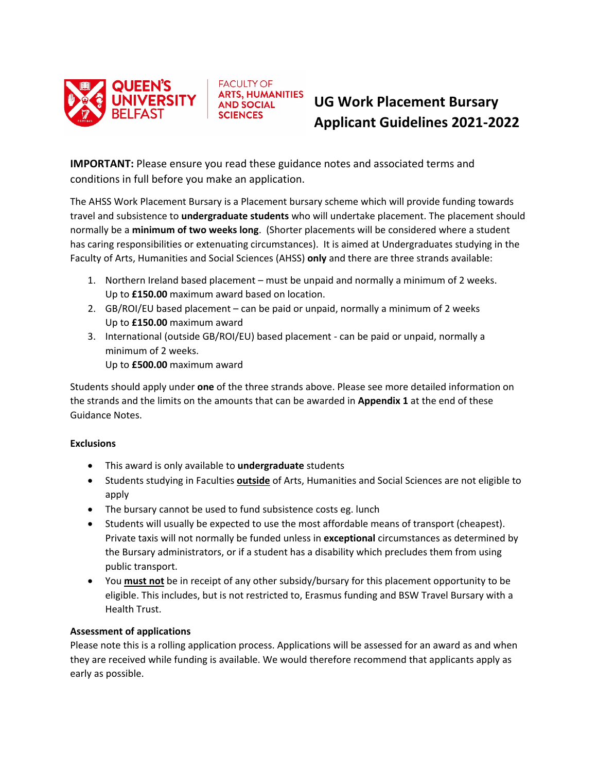

# **UG Work Placement Bursary Applicant Guidelines 2021-2022**

**IMPORTANT:** Please ensure you read these guidance notes and associated terms and conditions in full before you make an application.

**FACULTY OF ARTS, HUMANITIES AND SOCIAL SCIENCES** 

The AHSS Work Placement Bursary is a Placement bursary scheme which will provide funding towards travel and subsistence to **undergraduate students** who will undertake placement. The placement should normally be a **minimum of two weeks long**. (Shorter placements will be considered where a student has caring responsibilities or extenuating circumstances). It is aimed at Undergraduates studying in the Faculty of Arts, Humanities and Social Sciences (AHSS) **only** and there are three strands available:

- 1. Northern Ireland based placement must be unpaid and normally a minimum of 2 weeks. Up to **£150.00** maximum award based on location.
- 2. GB/ROI/EU based placement can be paid or unpaid, normally a minimum of 2 weeks Up to **£150.00** maximum award
- 3. International (outside GB/ROI/EU) based placement can be paid or unpaid, normally a minimum of 2 weeks. Up to **£500.00** maximum award

Students should apply under **one** of the three strands above. Please see more detailed information on the strands and the limits on the amounts that can be awarded in **Appendix 1** at the end of these Guidance Notes.

# **Exclusions**

- This award is only available to **undergraduate** students
- Students studying in Faculties **outside** of Arts, Humanities and Social Sciences are not eligible to apply
- The bursary cannot be used to fund subsistence costs eg. lunch
- Students will usually be expected to use the most affordable means of transport (cheapest). Private taxis will not normally be funded unless in **exceptional** circumstances as determined by the Bursary administrators, or if a student has a disability which precludes them from using public transport.
- You **must not** be in receipt of any other subsidy/bursary for this placement opportunity to be eligible. This includes, but is not restricted to, Erasmus funding and BSW Travel Bursary with a Health Trust.

# **Assessment of applications**

Please note this is a rolling application process. Applications will be assessed for an award as and when they are received while funding is available. We would therefore recommend that applicants apply as early as possible.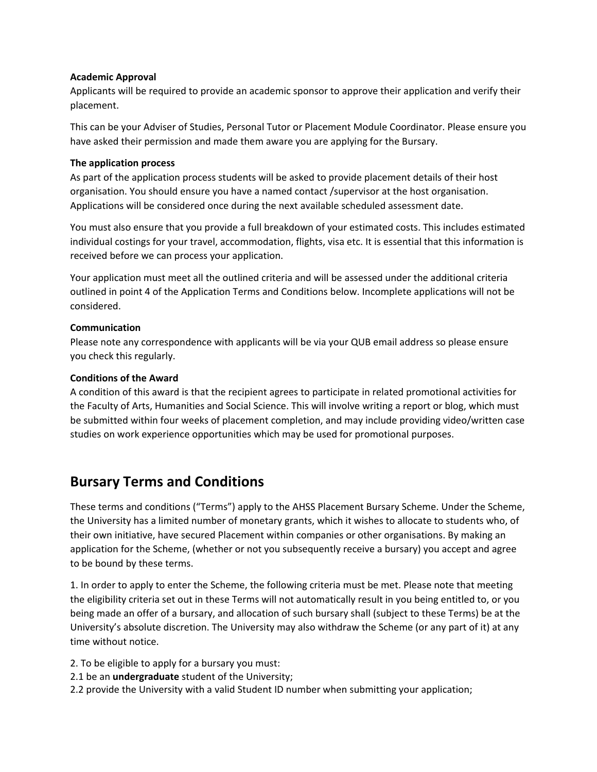### **Academic Approval**

Applicants will be required to provide an academic sponsor to approve their application and verify their placement.

This can be your Adviser of Studies, Personal Tutor or Placement Module Coordinator. Please ensure you have asked their permission and made them aware you are applying for the Bursary.

### **The application process**

As part of the application process students will be asked to provide placement details of their host organisation. You should ensure you have a named contact /supervisor at the host organisation. Applications will be considered once during the next available scheduled assessment date.

You must also ensure that you provide a full breakdown of your estimated costs. This includes estimated individual costings for your travel, accommodation, flights, visa etc. It is essential that this information is received before we can process your application.

Your application must meet all the outlined criteria and will be assessed under the additional criteria outlined in point 4 of the Application Terms and Conditions below. Incomplete applications will not be considered.

### **Communication**

Please note any correspondence with applicants will be via your QUB email address so please ensure you check this regularly.

### **Conditions of the Award**

A condition of this award is that the recipient agrees to participate in related promotional activities for the Faculty of Arts, Humanities and Social Science. This will involve writing a report or blog, which must be submitted within four weeks of placement completion, and may include providing video/written case studies on work experience opportunities which may be used for promotional purposes.

# **Bursary Terms and Conditions**

These terms and conditions ("Terms") apply to the AHSS Placement Bursary Scheme. Under the Scheme, the University has a limited number of monetary grants, which it wishes to allocate to students who, of their own initiative, have secured Placement within companies or other organisations. By making an application for the Scheme, (whether or not you subsequently receive a bursary) you accept and agree to be bound by these terms.

1. In order to apply to enter the Scheme, the following criteria must be met. Please note that meeting the eligibility criteria set out in these Terms will not automatically result in you being entitled to, or you being made an offer of a bursary, and allocation of such bursary shall (subject to these Terms) be at the University's absolute discretion. The University may also withdraw the Scheme (or any part of it) at any time without notice.

2. To be eligible to apply for a bursary you must:

- 2.1 be an **undergraduate** student of the University;
- 2.2 provide the University with a valid Student ID number when submitting your application;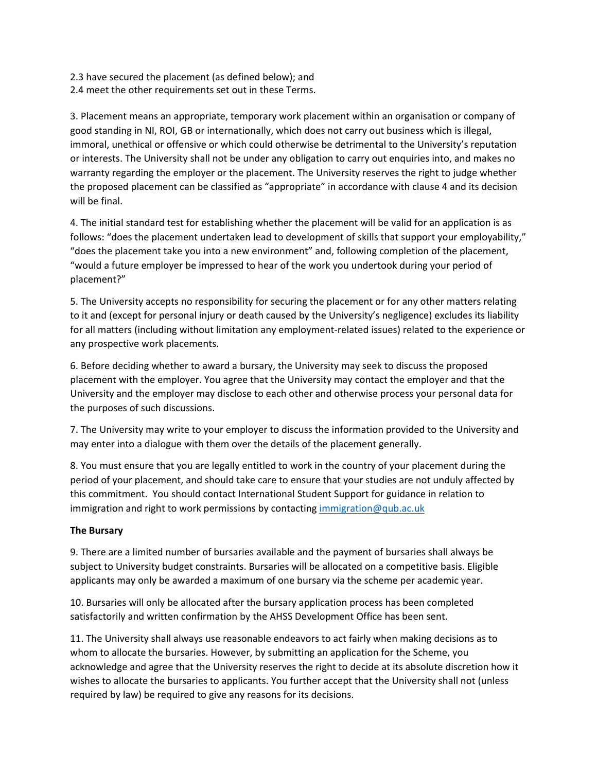2.3 have secured the placement (as defined below); and 2.4 meet the other requirements set out in these Terms.

3. Placement means an appropriate, temporary work placement within an organisation or company of good standing in NI, ROI, GB or internationally, which does not carry out business which is illegal, immoral, unethical or offensive or which could otherwise be detrimental to the University's reputation or interests. The University shall not be under any obligation to carry out enquiries into, and makes no warranty regarding the employer or the placement. The University reserves the right to judge whether the proposed placement can be classified as "appropriate" in accordance with clause 4 and its decision will be final.

4. The initial standard test for establishing whether the placement will be valid for an application is as follows: "does the placement undertaken lead to development of skills that support your employability," "does the placement take you into a new environment" and, following completion of the placement, "would a future employer be impressed to hear of the work you undertook during your period of placement?"

5. The University accepts no responsibility for securing the placement or for any other matters relating to it and (except for personal injury or death caused by the University's negligence) excludes its liability for all matters (including without limitation any employment-related issues) related to the experience or any prospective work placements.

6. Before deciding whether to award a bursary, the University may seek to discuss the proposed placement with the employer. You agree that the University may contact the employer and that the University and the employer may disclose to each other and otherwise process your personal data for the purposes of such discussions.

7. The University may write to your employer to discuss the information provided to the University and may enter into a dialogue with them over the details of the placement generally.

8. You must ensure that you are legally entitled to work in the country of your placement during the period of your placement, and should take care to ensure that your studies are not unduly affected by this commitment. You should contact International Student Support for guidance in relation to immigration and right to work permissions by contactin[g immigration@qub.ac.uk](mailto:immigration@qub.ac.uk)

# **The Bursary**

9. There are a limited number of bursaries available and the payment of bursaries shall always be subject to University budget constraints. Bursaries will be allocated on a competitive basis. Eligible applicants may only be awarded a maximum of one bursary via the scheme per academic year.

10. Bursaries will only be allocated after the bursary application process has been completed satisfactorily and written confirmation by the AHSS Development Office has been sent.

11. The University shall always use reasonable endeavors to act fairly when making decisions as to whom to allocate the bursaries. However, by submitting an application for the Scheme, you acknowledge and agree that the University reserves the right to decide at its absolute discretion how it wishes to allocate the bursaries to applicants. You further accept that the University shall not (unless required by law) be required to give any reasons for its decisions.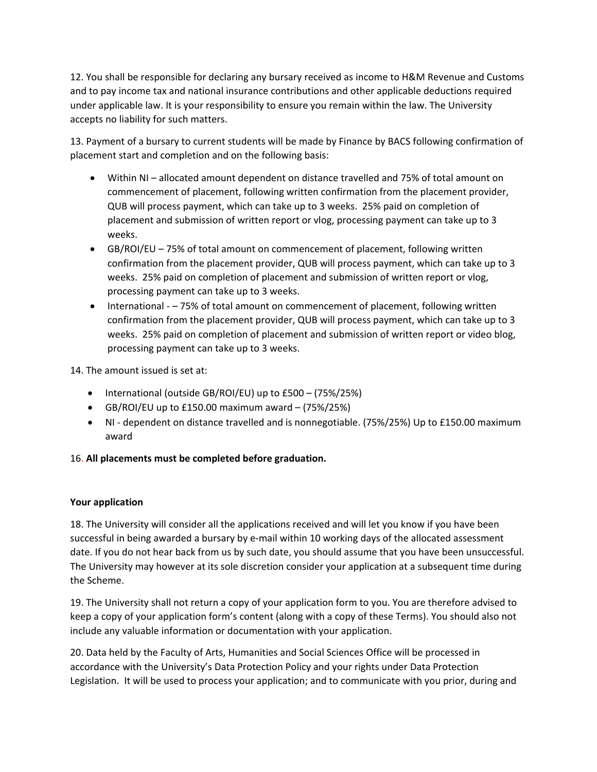12. You shall be responsible for declaring any bursary received as income to H&M Revenue and Customs and to pay income tax and national insurance contributions and other applicable deductions required under applicable law. It is your responsibility to ensure you remain within the law. The University accepts no liability for such matters.

13. Payment of a bursary to current students will be made by Finance by BACS following confirmation of placement start and completion and on the following basis:

- Within NI allocated amount dependent on distance travelled and 75% of total amount on commencement of placement, following written confirmation from the placement provider, QUB will process payment, which can take up to 3 weeks. 25% paid on completion of placement and submission of written report or vlog, processing payment can take up to 3 weeks.
- GB/ROI/EU 75% of total amount on commencement of placement, following written confirmation from the placement provider, QUB will process payment, which can take up to 3 weeks. 25% paid on completion of placement and submission of written report or vlog, processing payment can take up to 3 weeks.
- International – 75% of total amount on commencement of placement, following written confirmation from the placement provider, QUB will process payment, which can take up to 3 weeks. 25% paid on completion of placement and submission of written report or video blog, processing payment can take up to 3 weeks.

14. The amount issued is set at:

- International (outside GB/ROI/EU) up to £500 (75%/25%)
- GB/ROI/EU up to £150.00 maximum award (75%/25%)
- NI dependent on distance travelled and is nonnegotiable. (75%/25%) Up to £150.00 maximum award

# 16. **All placements must be completed before graduation.**

### **Your application**

18. The University will consider all the applications received and will let you know if you have been successful in being awarded a bursary by e-mail within 10 working days of the allocated assessment date. If you do not hear back from us by such date, you should assume that you have been unsuccessful. The University may however at its sole discretion consider your application at a subsequent time during the Scheme.

19. The University shall not return a copy of your application form to you. You are therefore advised to keep a copy of your application form's content (along with a copy of these Terms). You should also not include any valuable information or documentation with your application.

20. Data held by the Faculty of Arts, Humanities and Social Sciences Office will be processed in accordance with the University's Data Protection Policy and your rights under Data Protection Legislation. It will be used to process your application; and to communicate with you prior, during and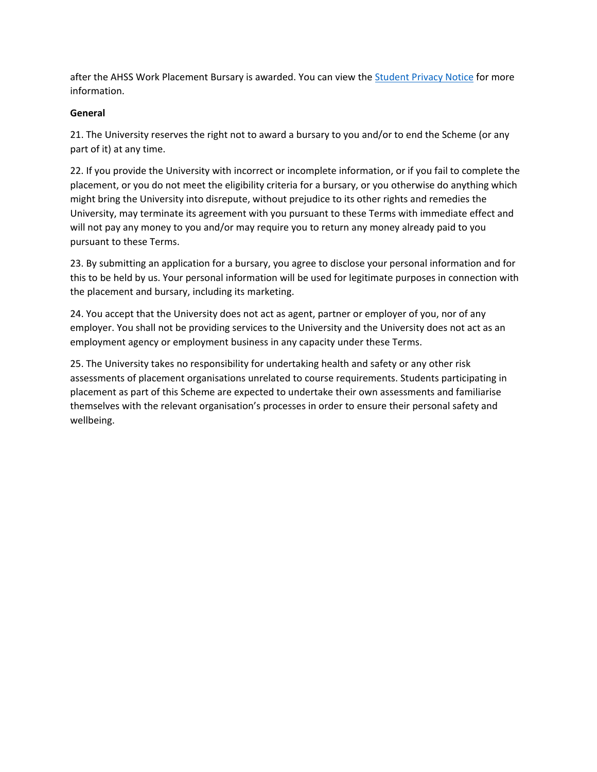after the AHSS Work Placement Bursary is awarded. You can view th[e Student Privacy Notice](https://www.qub.ac.uk/about/Leadership-and-structure/Registrars-Office/FileStore/Filetoupload,766524,en.pdf) for more information.

### **General**

21. The University reserves the right not to award a bursary to you and/or to end the Scheme (or any part of it) at any time.

22. If you provide the University with incorrect or incomplete information, or if you fail to complete the placement, or you do not meet the eligibility criteria for a bursary, or you otherwise do anything which might bring the University into disrepute, without prejudice to its other rights and remedies the University, may terminate its agreement with you pursuant to these Terms with immediate effect and will not pay any money to you and/or may require you to return any money already paid to you pursuant to these Terms.

23. By submitting an application for a bursary, you agree to disclose your personal information and for this to be held by us. Your personal information will be used for legitimate purposes in connection with the placement and bursary, including its marketing.

24. You accept that the University does not act as agent, partner or employer of you, nor of any employer. You shall not be providing services to the University and the University does not act as an employment agency or employment business in any capacity under these Terms.

25. The University takes no responsibility for undertaking health and safety or any other risk assessments of placement organisations unrelated to course requirements. Students participating in placement as part of this Scheme are expected to undertake their own assessments and familiarise themselves with the relevant organisation's processes in order to ensure their personal safety and wellbeing.